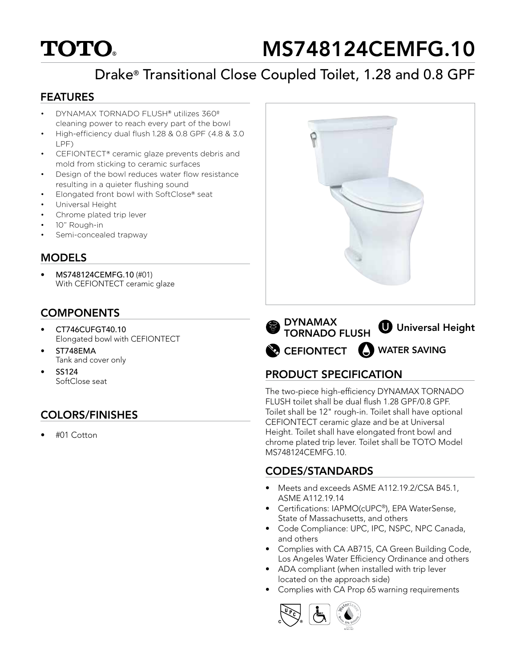# **TOTO.**

# MS748124CEMFG.10

# Drake® Transitional Close Coupled Toilet, 1.28 and 0.8 GPF

#### FEATURES

- DYNAMAX TORNADO FLUSH® utilizes 360º cleaning power to reach every part of the bowl
- High-efficiency dual flush 1.28 & 0.8 GPF (4.8 & 3.0 LPF)
- CEFIONTECT® ceramic glaze prevents debris and mold from sticking to ceramic surfaces
- Design of the bowl reduces water flow resistance resulting in a quieter flushing sound
- Elongated front bowl with SoftClose® seat
- Universal Height
- Chrome plated trip lever
- 10" Rough-in
- Semi-concealed trapway

#### MODELS

• MS748124CEMFG.10 (#01) With CEFIONTECT ceramic glaze

### **COMPONENTS**

- CT746CUFGT40.10 Elongated bowl with CEFIONTECT
- ST748EMA Tank and cover only
- SS124 SoftClose seat

# COLORS/FINISHES

• #01 Cotton



CEFIONTECT WATER SAVINGDYNAMAX TORNADO FLUSH **U** Universal Height

## PRODUCT SPECIFICATION

The two-piece high-efficiency DYNAMAX TORNADO FLUSH toilet shall be dual flush 1.28 GPF/0.8 GPF. Toilet shall be 12" rough-in. Toilet shall have optional CEFIONTECT ceramic glaze and be at Universal Height. Toilet shall have elongated front bowl and chrome plated trip lever. Toilet shall be TOTO Model MS748124CEMFG.10.

### CODES/STANDARDS

- Meets and exceeds ASME A112.19.2/CSA B45.1, ASME A112.19.14
- Certifications: IAPMO(cUPC®), EPA WaterSense, State of Massachusetts, and others
- Code Compliance: UPC, IPC, NSPC, NPC Canada, and others
- Complies with CA AB715, CA Green Building Code, Los Angeles Water Efficiency Ordinance and others
- ADA compliant (when installed with trip lever located on the approach side)
- Complies with CA Prop 65 warning requirements